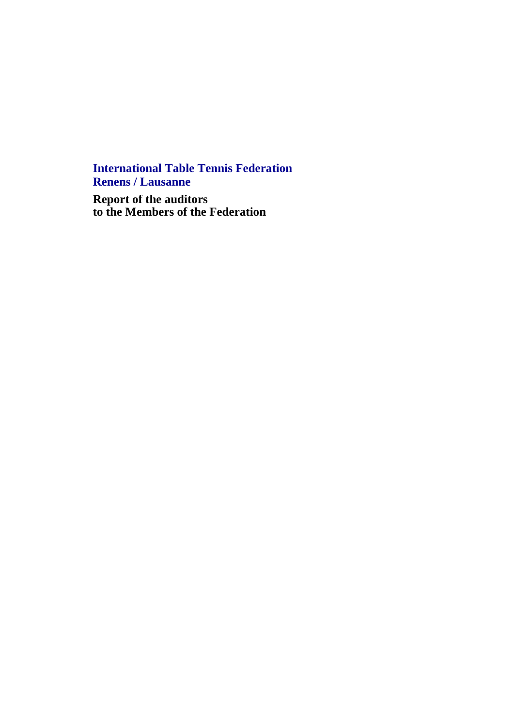**International Table Tennis Federation Renens / Lausanne**

**Report of the auditors to the Members of the Federation**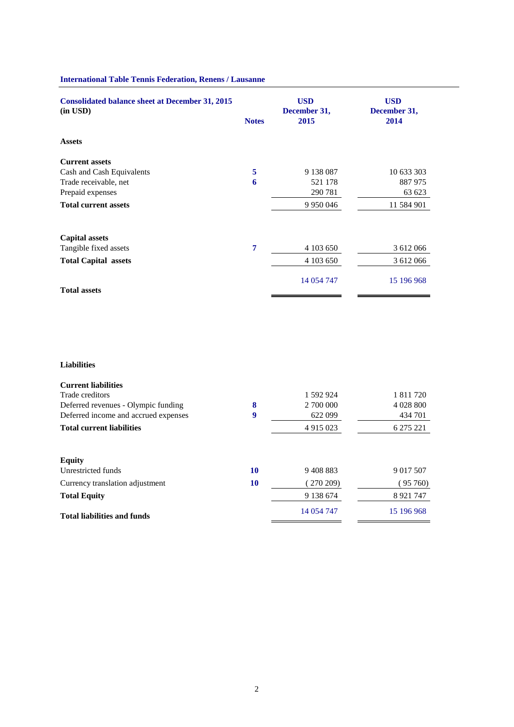| <b>Consolidated balance sheet at December 31, 2015</b><br>$(in$ USD $)$ | <b>Notes</b> | <b>USD</b><br>December 31,<br>2015 | <b>USD</b><br>December 31,<br>2014 |
|-------------------------------------------------------------------------|--------------|------------------------------------|------------------------------------|
| <b>Assets</b>                                                           |              |                                    |                                    |
| <b>Current assets</b>                                                   |              |                                    |                                    |
| Cash and Cash Equivalents                                               | 5            | 9 138 0 87                         | 10 633 303                         |
| Trade receivable, net                                                   | 6            | 521 178                            | 887 975                            |
| Prepaid expenses                                                        |              | 290 781                            | 63 623                             |
| <b>Total current assets</b>                                             |              | 9 9 5 0 0 4 6                      | 11 584 901                         |
| <b>Capital assets</b>                                                   |              |                                    |                                    |
| Tangible fixed assets                                                   | 7            | 4 103 650                          | 3 612 066                          |
| <b>Total Capital assets</b>                                             |              | 4 103 650                          | 3 612 066                          |
| <b>Total assets</b>                                                     |              | 14 054 747                         | 15 196 968                         |
|                                                                         |              |                                    |                                    |

# **International Table Tennis Federation, Renens / Lausanne**

# **Liabilities**

| <b>Current liabilities</b>           |    |               |              |
|--------------------------------------|----|---------------|--------------|
| Trade creditors                      |    | 1 592 924     | 1 811 720    |
| Deferred revenues - Olympic funding  | 8  | 2 700 000     | 4 0 28 8 0 0 |
| Deferred income and accrued expenses | 9  | 622 099       | 434 701      |
| <b>Total current liabilities</b>     |    | 4 9 1 5 0 2 3 | 6 275 221    |
|                                      |    |               |              |
| <b>Equity</b>                        |    |               |              |
| Unrestricted funds                   | 10 | 9408883       | 9 0 17 5 07  |
| Currency translation adjustment      | 10 | (270209)      | (95760)      |
| <b>Total Equity</b>                  |    | 9 138 674     | 8 9 21 7 47  |
| <b>Total liabilities and funds</b>   |    | 14 054 747    | 15 196 968   |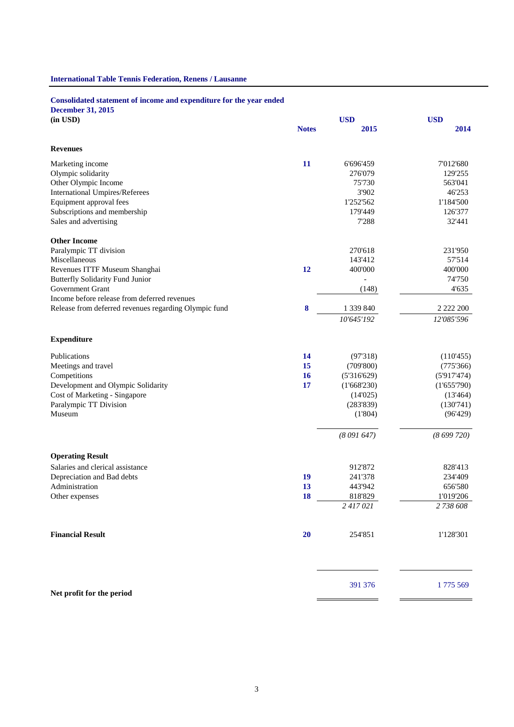# **International Table Tennis Federation, Renens / Lausanne**

## **Consolidated statement of income and expenditure for the year ended**

**December 31, 2015**

| (in USD)                                              |              | <b>USD</b>  | <b>USD</b>    |
|-------------------------------------------------------|--------------|-------------|---------------|
|                                                       | <b>Notes</b> | 2015        | 2014          |
| <b>Revenues</b>                                       |              |             |               |
| Marketing income                                      | 11           | 6'696'459   | 7'012'680     |
| Olympic solidarity                                    |              | 276'079     | 129'255       |
| Other Olympic Income                                  |              | 75'730      | 563'041       |
| <b>International Umpires/Referees</b>                 |              | 3'902       | 46'253        |
| Equipment approval fees                               |              | 1'252'562   | 1'184'500     |
| Subscriptions and membership                          |              | 179'449     | 126'377       |
| Sales and advertising                                 |              | 7'288       | 32'441        |
| <b>Other Income</b>                                   |              |             |               |
| Paralympic TT division                                |              | 270'618     | 231'950       |
| Miscellaneous                                         |              | 143'412     | 57'514        |
| Revenues ITTF Museum Shanghai                         | 12           | 400'000     | 400'000       |
| <b>Butterfly Solidarity Fund Junior</b>               |              |             | 74'750        |
| Government Grant                                      |              | (148)       | 4'635         |
| Income before release from deferred revenues          |              |             |               |
| Release from deferred revenues regarding Olympic fund | $\bf{8}$     | 1 339 840   | 2 2 2 2 2 0 0 |
|                                                       |              | 10'645'192  | 12'085'596    |
| <b>Expenditure</b>                                    |              |             |               |
| Publications                                          | 14           | (97'318)    | (110'455)     |
| Meetings and travel                                   | 15           | (709'800)   | (775'366)     |
| Competitions                                          | 16           | (5'316'629) | (5'917'474)   |
| Development and Olympic Solidarity                    | 17           | (1'668'230) | (1'655'790)   |
| Cost of Marketing - Singapore                         |              | (14'025)    | (13'464)      |
| Paralympic TT Division                                |              | (283'839)   | (130'741)     |
| Museum                                                |              | (1'804)     | (96'429)      |
|                                                       |              | (8091647)   | (8699720)     |
| <b>Operating Result</b>                               |              |             |               |
| Salaries and clerical assistance                      |              | 912'872     | 828'413       |
| Depreciation and Bad debts                            | 19           | 241'378     | 234'409       |
| Administration                                        | 13           | 443'942     | 656'580       |
| Other expenses                                        | 18           | 818'829     | 1'019'206     |
|                                                       |              | 2417021     | 2 738 608     |
| <b>Financial Result</b>                               | 20           | 254'851     | 1'128'301     |
|                                                       |              | 391 376     | 1775 569      |
| Net profit for the period                             |              |             |               |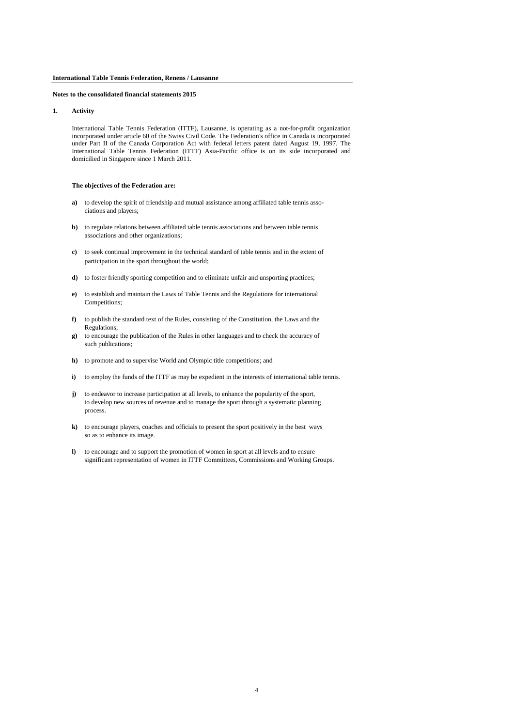**1. Activity**

International Table Tennis Federation (ITTF), Lausanne, is operating as a not-for-profit organization incorporated under article 60 of the Swiss Civil Code. The Federation's office in Canada is incorporated under Part II of the Canada Corporation Act with federal letters patent dated August 19, 1997. The International Table Tennis Federation (ITTF) Asia-Pacific office is on its side incorporated and domicilied in Singapore since 1 March 2011.

## **The objectives of the Federation are:**

- **a)** to develop the spirit of friendship and mutual assistance among affiliated table tennis associations and players;
- **b)** to regulate relations between affiliated table tennis associations and between table tennis associations and other organizations;
- **c)** to seek continual improvement in the technical standard of table tennis and in the extent of participation in the sport throughout the world;
- **d)** to foster friendly sporting competition and to eliminate unfair and unsporting practices;
- **e)** to establish and maintain the Laws of Table Tennis and the Regulations for international Competitions;
- **f)** to publish the standard text of the Rules, consisting of the Constitution, the Laws and the Regulations;
- **g)** to encourage the publication of the Rules in other languages and to check the accuracy of such publications;
- **h)** to promote and to supervise World and Olympic title competitions; and
- **i**) to employ the funds of the ITTF as may be expedient in the interests of international table tennis.
- **j)** to endeavor to increase participation at all levels, to enhance the popularity of the sport, to develop new sources of revenue and to manage the sport through a systematic planning process.
- **k)** to encourage players, coaches and officials to present the sport positively in the best ways so as to enhance its image.
- **l)** to encourage and to support the promotion of women in sport at all levels and to ensure significant representation of women in ITTF Committees, Commissions and Working Groups.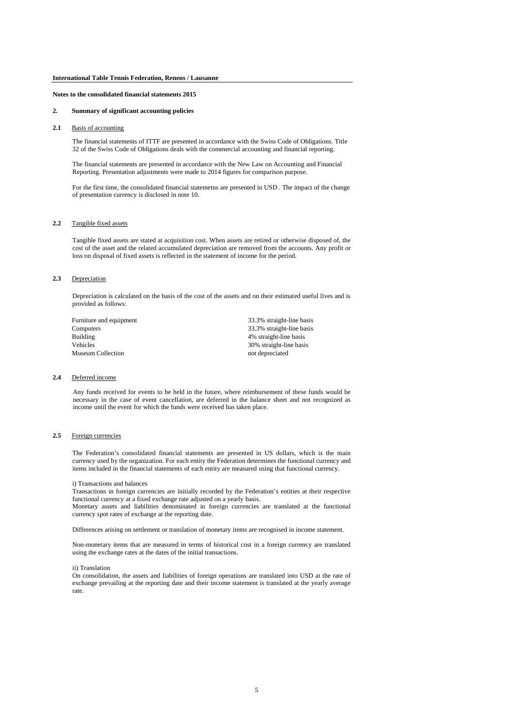### **2. Summary of significant accounting policies**

**2.1** Basis of accounting

The financial statements of ITTF are presented in accordance with the Swiss Code of Obligations. Title 32 of the Swiss Code of Obligations deals with the commercial accounting and financial reporting.

The financial statements are presented in accordance with the New Law on Accounting and Financial Reporting. Presentation adjustments were made to 2014 figures for comparison purpose.

For the first time, the consolidated financial statemetns are presented in USD . The impact of the change of presentation currency is disclosed in note 10.

### **2.2** Tangible fixed assets

Tangible fixed assets are stated at acquisition cost. When assets are retired or otherwise disposed of, the cost of the asset and the related accumulated depreciation are removed from the accounts. Any profit or loss on disposal of fixed assets is reflected in the statement of income for the period.

### **2.3** Depreciation

Depreciation is calculated on the basis of the cost of the assets and on their estimated useful lives and is provided as follows:

Furniture and equipment 33.3% straight-line basis Computers 33.3% straight-line basis Building 4% straight-line basis Vehicles 30% straight-line basis Museum Collection not depreciated

### **2.4** Deferred income

Any funds received for events to be held in the future, where reimbursement of these funds would be necessary in the case of event cancellation, are deferred in the balance sheet and not recognized as income until the event for which the funds were received has taken place.

#### **2.5** Foreign currencies

The Federation's consolidated financial statements are presented in US dollars, which is the main currency used by the organization. For each entity the Federation determines the functional currency and items included in the financial statements of each entity are measured using that functional currency.

#### i) Transactions and balances

Transactions in foreign currencies are initially recorded by the Federation's entities at their respective functional currency at a fixed exchange rate adjusted on a yearly basis.

Monetary assets and liabilities denominated in foreign currencies are translated at the functional currency spot rates of exchange at the reporting date.

Differences arising on settlement or translation of monetary items are recognised in income statement.

Non-monetary items that are measured in terms of historical cost in a foreign currency are translated using the exchange rates at the dates of the initial transactions.

#### ii) Translation

On consolidation, the assets and liabilities of foreign operations are translated into USD at the rate of exchange prevailing at the reporting date and their income statement is translated at the yearly average rate.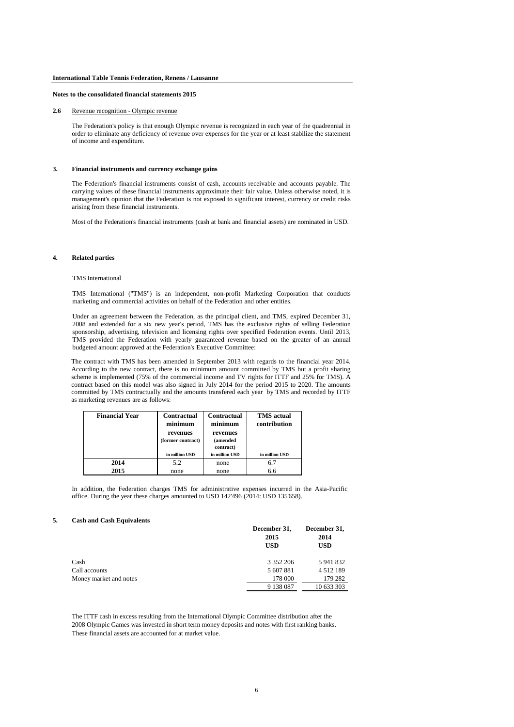### **2.6** Revenue recognition - Olympic revenue

The Federation's policy is that enough Olympic revenue is recognized in each year of the quadrennial in order to eliminate any deficiency of revenue over expenses for the year or at least stabilize the statement of income and expenditure.

#### **3. Financial instruments and currency exchange gains**

The Federation's financial instruments consist of cash, accounts receivable and accounts payable. The carrying values of these financial instruments approximate their fair value. Unless otherwise noted, it is management's opinion that the Federation is not exposed to significant interest, currency or credit risks arising from these financial instruments.

Most of the Federation's financial instruments (cash at bank and financial assets) are nominated in USD.

### **4. Related parties**

#### TMS International

TMS International ("TMS") is an independent, non-profit Marketing Corporation that conducts marketing and commercial activities on behalf of the Federation and other entities.

Under an agreement between the Federation, as the principal client, and TMS, expired December 31, 2008 and extended for a six new year's period, TMS has the exclusive rights of selling Federation sponsorship, advertising, television and licensing rights over specified Federation events. Until 2013, TMS provided the Federation with yearly guaranteed revenue based on the greater of an annual budgeted amount approved at the Federation's Executive Committee:

The contract with TMS has been amended in September 2013 with regards to the financial year 2014. According to the new contract, there is no minimum amount committed by TMS but a profit sharing scheme is implemented (75% of the commercial income and TV rights for ITTF and 25% for TMS). A contract based on this model was also signed in July 2014 for the period 2015 to 2020. The amounts committed by TMS contractually and the amounts transfered each year by TMS and recorded by ITTF as marketing revenues are as follows:

| <b>Financial Year</b> | Contractual<br>minimum        | Contractual<br>minimum            | <b>TMS</b> actual<br>contribution |
|-----------------------|-------------------------------|-----------------------------------|-----------------------------------|
|                       | revenues<br>(former contract) | revenues<br>(amended<br>contract) |                                   |
|                       | in million USD                | in million USD                    | in million USD                    |
| 2014                  | 5.2                           | none                              | 6.7                               |
| 2015                  | none                          | none                              | 6.6                               |

In addition, the Federation charges TMS for administrative expenses incurred in the Asia-Pacific office. During the year these charges amounted to USD 142'496 (2014: USD 135'658).

#### **5. Cash and Cash Equivalents**

|                        | December 31,<br>2015<br><b>USD</b> | December 31,<br>2014<br><b>USD</b> |
|------------------------|------------------------------------|------------------------------------|
| Cash                   | 3 3 5 2 2 0 6                      | 5 941 832                          |
| Call accounts          | 5 607 881                          | 4 5 1 2 1 8 9                      |
| Money market and notes | 178 000                            | 179 282                            |
|                        | 9 138 087                          | 10 633 303                         |

The ITTF cash in excess resulting from the International Olympic Committee distribution after the 2008 Olympic Games was invested in short term money deposits and notes with first ranking banks. These financial assets are accounted for at market value.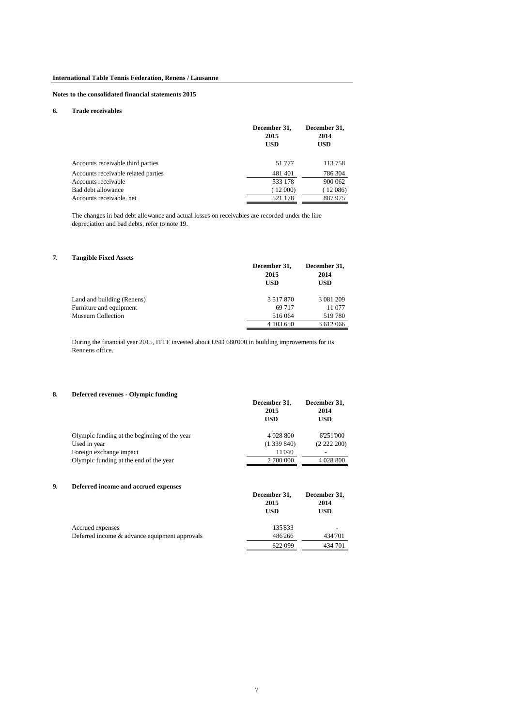### **6. Trade receivables**

|                                     | December 31,<br>2015<br><b>USD</b> | December 31,<br>2014<br>USD |
|-------------------------------------|------------------------------------|-----------------------------|
| Accounts receivable third parties   | 51 777                             | 113758                      |
| Accounts receivable related parties | 481401                             | 786 304                     |
| Accounts receivable                 | 533 178                            | 900 062                     |
| Bad debt allowance                  | (12000)                            | (12086)                     |
| Accounts receivable, net            | 521 178                            | 887975                      |

The changes in bad debt allowance and actual losses on receivables are recorded under the line depreciation and bad debts, refer to note 19.

# **7. Tangible Fixed Assets**

| Tangidie Fiacu Assets      |               |               |
|----------------------------|---------------|---------------|
|                            | December 31,  | December 31,  |
|                            | 2015          | 2014          |
|                            | <b>USD</b>    | USD           |
| Land and building (Renens) | 3 5 1 7 8 7 0 | 3 0 8 1 2 0 9 |
| Furniture and equipment    | 69 7 1 7      | 11 077        |
| Museum Collection          | 516 064       | 519780        |
|                            | 4 103 650     | 3 612 066     |

During the financial year 2015, ITTF invested about USD 680'000 in building improvements for its Rennens office.

### **8. Deferred revenues - Olympic funding**

| December 31,<br>2015<br><b>USD</b> | December 31,<br>2014<br>USD |
|------------------------------------|-----------------------------|
| 4 0 28 8 0 0                       | 6'251'000                   |
| (1339840)                          | (2222200)                   |
| 11'040                             | $\overline{\phantom{0}}$    |
| 2 700 000                          | 4 0 28 8 0 0                |
|                                    |                             |

# **9. Deferred income and accrued expenses**

|                                               | 2015<br><b>USD</b> | 2014<br><b>USD</b> |
|-----------------------------------------------|--------------------|--------------------|
| Accrued expenses                              | 135'833            |                    |
| Deferred income & advance equipment approvals | 486'266            | 434'701            |
|                                               | 622 099            | 434 701            |

**December 31, December 31,**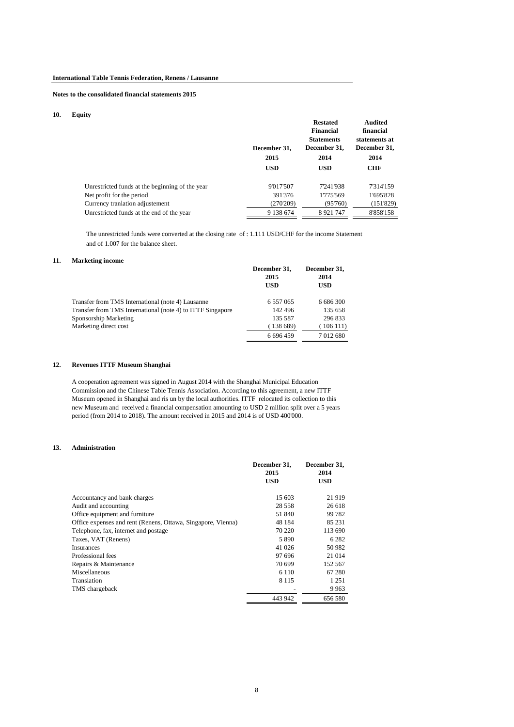### **10. Equity**

| $\cdots$                                        | December 31,<br>2015<br><b>USD</b> | <b>Restated</b><br>Financial<br><b>Statements</b><br>December 31,<br>2014<br><b>USD</b> | Audited<br>financial<br>statements at<br>December 31,<br>2014<br><b>CHF</b> |
|-------------------------------------------------|------------------------------------|-----------------------------------------------------------------------------------------|-----------------------------------------------------------------------------|
| Unrestricted funds at the beginning of the year | 9'017'507                          | 7'241'938                                                                               | 7'314'159                                                                   |
| Net profit for the period                       | 391'376                            | 1775'569                                                                                | 1'695'828                                                                   |
| Currency tranlation adjustement                 | (270'209)                          | (95760)                                                                                 | (151829)                                                                    |
| Unrestricted funds at the end of the year       | 9 138 674                          | 8921747                                                                                 | 8'858'158                                                                   |

 The unrestricted funds were converted at the closing rate of : 1.111 USD/CHF for the income Statement and of 1.007 for the balance sheet.

# **11. Marketing income**

|                                                            | December 31,<br>2015<br><b>USD</b> | December 31,<br>2014<br>USD |
|------------------------------------------------------------|------------------------------------|-----------------------------|
| Transfer from TMS International (note 4) Lausanne          | 6 5 5 7 0 6 5                      | 6 686 300                   |
| Transfer from TMS International (note 4) to ITTF Singapore | 142 496                            | 135 658                     |
| Sponsorship Marketing                                      | 135 587                            | 296 833                     |
| Marketing direct cost                                      | (138689)                           | (106111)                    |
|                                                            | 6 696 459                          | 7 012 680                   |

# **12. Revenues ITTF Museum Shanghai**

A cooperation agreement was signed in August 2014 with the Shanghai Municipal Education Commission and the Chinese Table Tennis Association. According to this agreement, a new ITTF Museum opened in Shanghai and ris un by the local authorities. ITTF relocated its collection to this new Museum and received a financial compensation amounting to USD 2 million split over a 5 years period (from 2014 to 2018). The amount received in 2015 and 2014 is of USD 400'000.

### **13. Administration**

|                                                              | December 31,<br>2015<br><b>USD</b> | December 31,<br>2014<br>USD |
|--------------------------------------------------------------|------------------------------------|-----------------------------|
| Accountancy and bank charges                                 | 15 603                             | 21919                       |
| Audit and accounting                                         | 28 5 5 8                           | 26 618                      |
| Office equipment and furniture                               | 51 840                             | 99 782                      |
| Office expenses and rent (Renens, Ottawa, Singapore, Vienna) | 48 184                             | 85 231                      |
| Telephone, fax, internet and postage                         | 70 220                             | 113 690                     |
| Taxes, VAT (Renens)                                          | 5 8 9 0                            | 6 2 8 2                     |
| <b>Insurances</b>                                            | 41 026                             | 50 982                      |
| Professional fees                                            | 97 696                             | 21 014                      |
| Repairs & Maintenance                                        | 70 699                             | 152 567                     |
| Miscellaneous                                                | 6 1 1 0                            | 67 280                      |
| Translation                                                  | 8 1 1 5                            | 1 2 5 1                     |
| TMS chargeback                                               |                                    | 9963                        |
|                                                              | 443 942                            | 656 580                     |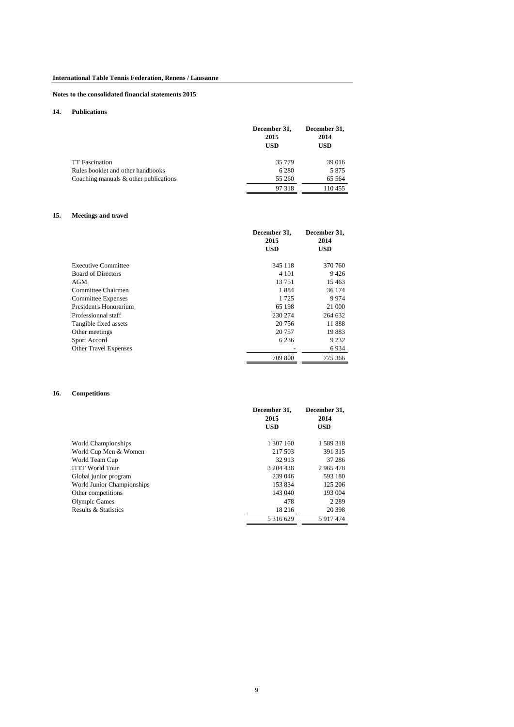# **14. Publications**

|                                          | December 31,<br>2015<br>USD | December 31,<br>2014<br><b>USD</b> |
|------------------------------------------|-----------------------------|------------------------------------|
| <b>TT</b> Fascination                    | 35 7 7 9                    | 39 016                             |
| Rules booklet and other handbooks        | 6 2 8 0                     | 5875                               |
| Coaching manuals $\&$ other publications | 55 260                      | 65 5 64                            |
|                                          | 97 318                      | 110455                             |

# **15. Meetings and travel**

|                              | December 31,<br>2015<br><b>USD</b> | December 31,<br>2014<br><b>USD</b> |
|------------------------------|------------------------------------|------------------------------------|
| <b>Executive Committee</b>   | 345 118                            | 370 760                            |
| <b>Board of Directors</b>    | 4 1 0 1                            | 9426                               |
| AGM                          | 13751                              | 15463                              |
| Committee Chairmen           | 1884                               | 36 174                             |
| <b>Committee Expenses</b>    | 1 725                              | 9974                               |
| President's Honorarium       | 65 198                             | 21 000                             |
| Professionnal staff          | 230 274                            | 264 632                            |
| Tangible fixed assets        | 20 75 6                            | 11888                              |
| Other meetings               | 20 757                             | 19883                              |
| Sport Accord                 | 6 2 3 6                            | 9 2 3 2                            |
| <b>Other Travel Expenses</b> |                                    | 6934                               |
|                              | 709 800                            | 775 366                            |

# **16. Competitions**

|                            | December 31.<br>2015 | December 31.<br>2014 |
|----------------------------|----------------------|----------------------|
|                            | <b>USD</b>           | <b>USD</b>           |
| World Championships        | 1 307 160            | 1589318              |
| World Cup Men & Women      | 217 503              | 391 315              |
| World Team Cup             | 32 913               | 37 28 6              |
| <b>ITTF World Tour</b>     | 3 204 438            | 2965478              |
| Global junior program      | 239 046              | 593 180              |
| World Junior Championships | 153 834              | 125 206              |
| Other competitions         | 143 040              | 193 004              |
| <b>Olympic Games</b>       | 478                  | 2 2 8 9              |
| Results & Statistics       | 18 216               | 20 398               |
|                            | 5 3 1 6 6 2 9        | 5917474              |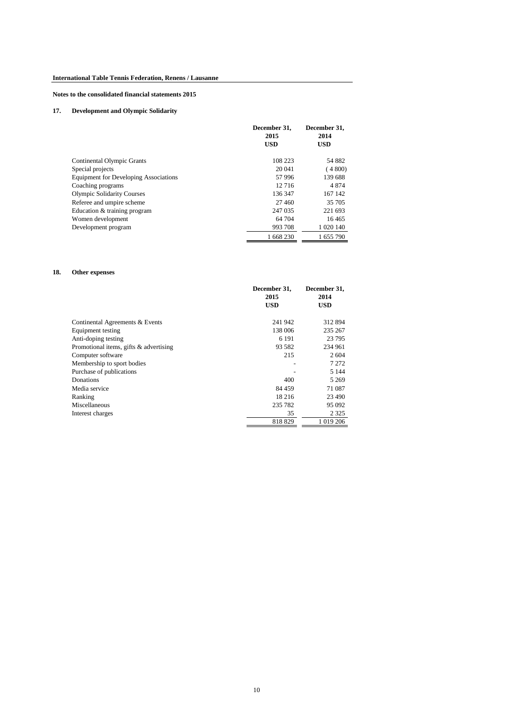# **17. Development and Olympic Solidarity**

|                                              | December 31,       | December 31,       |
|----------------------------------------------|--------------------|--------------------|
|                                              | 2015<br><b>USD</b> | 2014<br><b>USD</b> |
|                                              |                    |                    |
|                                              |                    |                    |
| Continental Olympic Grants                   | 108 223            | 54 882             |
| Special projects                             | 20 041             | (4800)             |
| <b>Equipment for Developing Associations</b> | 57996              | 139 688            |
| Coaching programs                            | 12716              | 4874               |
| <b>Olympic Solidarity Courses</b>            | 136 347            | 167 142            |
| Referee and umpire scheme                    | 27 460             | 35 705             |
| Education & training program                 | 247 035            | 221 693            |
| Women development                            | 64 704             | 16465              |
| Development program                          | 993 708            | 1 0 20 140         |
|                                              | 1 668 230          | 1 655 790          |

# **18. Other expenses**

|                                           | December 31,<br>2015 | December 31,<br>2014 |
|-------------------------------------------|----------------------|----------------------|
|                                           |                      |                      |
|                                           | <b>USD</b>           | <b>USD</b>           |
|                                           |                      |                      |
| Continental Agreements & Events           | 241 942              | 312 894              |
| Equipment testing                         | 138 006              | 235 267              |
| Anti-doping testing                       | 6 1 9 1              | 23 795               |
| Promotional items, gifts $\&$ advertising | 93 5 82              | 234 961              |
| Computer software                         | 215                  | 2604                 |
| Membership to sport bodies                |                      | 7 272                |
| Purchase of publications                  |                      | 5 1 4 4              |
| Donations                                 | 400                  | 5 2 6 9              |
| Media service                             | 84 459               | 71 087               |
| Ranking                                   | 18 216               | 23 490               |
| Miscellaneous                             | 235 782              | 95 092               |
| Interest charges                          | 35                   | 2 3 2 5              |
|                                           | 818829               | 1 019 206            |